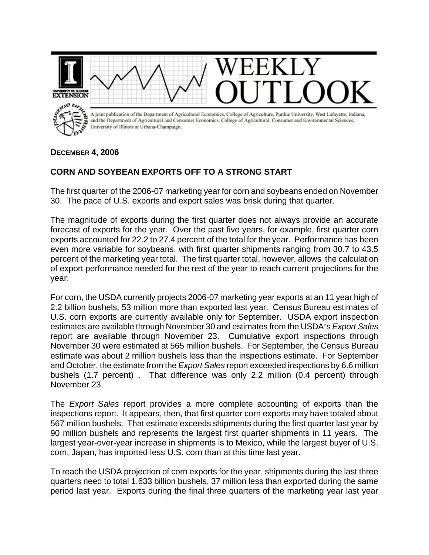

## **DECEMBER 4, 2006**

## **CORN AND SOYBEAN EXPORTS OFF TO A STRONG START**

The first quarter of the 2006-07 marketing year for corn and soybeans ended on November 30. The pace of U.S. exports and export sales was brisk during that quarter.

The magnitude of exports during the first quarter does not always provide an accurate forecast of exports for the year. Over the past five years, for example, first quarter corn exports accounted for 22.2 to 27.4 percent of the total for the year. Performance has been even more variable for soybeans, with first quarter shipments ranging from 30.7 to 43.5 percent of the marketing year total. The first quarter total, however, allows the calculation of export performance needed for the rest of the year to reach current projections for the year.

For corn, the USDA currently projects 2006-07 marketing year exports at an 11 year high of 2.2 billion bushels, 53 million more than exported last year. Census Bureau estimates of U.S. corn exports are currently available only for September. USDA export inspection estimates are available through November 30 and estimates from the USDA's *Export Sales* report are available through November 23. Cumulative export inspections through November 30 were estimated at 565 million bushels. For September, the Census Bureau estimate was about 2 million bushels less than the inspections estimate. For September and October, the estimate from the *Export Sales* report exceeded inspections by 6.6 million bushels (1.7 percent) . That difference was only 2.2 million (0.4 percent) through November 23.

The *Export Sales* report provides a more complete accounting of exports than the inspections report. It appears, then, that first quarter corn exports may have totaled about 567 million bushels. That estimate exceeds shipments during the first quarter last year by 90 million bushels and represents the largest first quarter shipments in 11 years. The largest year-over-year increase in shipments is to Mexico, while the largest buyer of U.S. corn, Japan, has imported less U.S. corn than at this time last year.

To reach the USDA projection of corn exports for the year, shipments during the last three quarters need to total 1.633 billion bushels, 37 million less than exported during the same period last year. Exports during the final three quarters of the marketing year last year